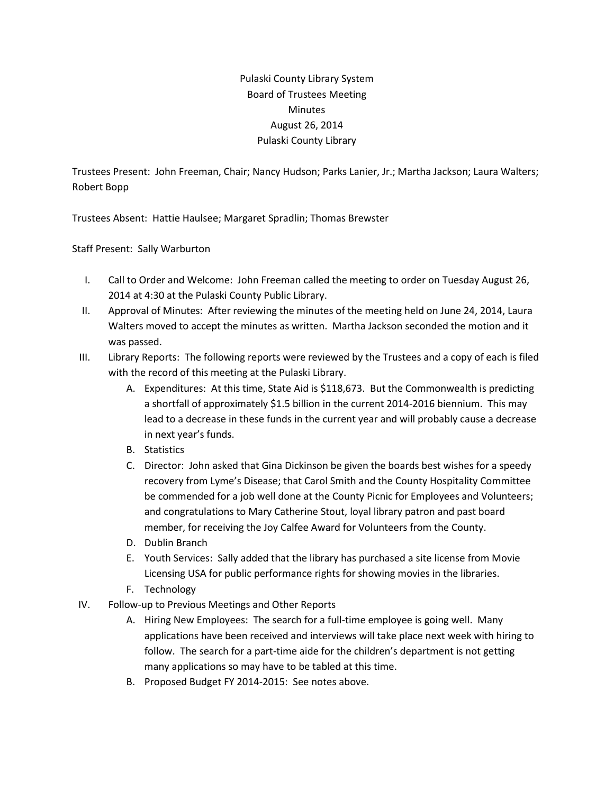## Pulaski County Library System Board of Trustees Meeting **Minutes** August 26, 2014 Pulaski County Library

Trustees Present: John Freeman, Chair; Nancy Hudson; Parks Lanier, Jr.; Martha Jackson; Laura Walters; Robert Bopp

Trustees Absent: Hattie Haulsee; Margaret Spradlin; Thomas Brewster

Staff Present: Sally Warburton

- I. Call to Order and Welcome: John Freeman called the meeting to order on Tuesday August 26, 2014 at 4:30 at the Pulaski County Public Library.
- II. Approval of Minutes: After reviewing the minutes of the meeting held on June 24, 2014, Laura Walters moved to accept the minutes as written. Martha Jackson seconded the motion and it was passed.
- III. Library Reports: The following reports were reviewed by the Trustees and a copy of each is filed with the record of this meeting at the Pulaski Library.
	- A. Expenditures: At this time, State Aid is \$118,673. But the Commonwealth is predicting a shortfall of approximately \$1.5 billion in the current 2014-2016 biennium. This may lead to a decrease in these funds in the current year and will probably cause a decrease in next year's funds.
	- B. Statistics
	- C. Director: John asked that Gina Dickinson be given the boards best wishes for a speedy recovery from Lyme's Disease; that Carol Smith and the County Hospitality Committee be commended for a job well done at the County Picnic for Employees and Volunteers; and congratulations to Mary Catherine Stout, loyal library patron and past board member, for receiving the Joy Calfee Award for Volunteers from the County.
	- D. Dublin Branch
	- E. Youth Services: Sally added that the library has purchased a site license from Movie Licensing USA for public performance rights for showing movies in the libraries.
	- F. Technology
- IV. Follow-up to Previous Meetings and Other Reports
	- A. Hiring New Employees: The search for a full-time employee is going well. Many applications have been received and interviews will take place next week with hiring to follow. The search for a part-time aide for the children's department is not getting many applications so may have to be tabled at this time.
	- B. Proposed Budget FY 2014-2015: See notes above.